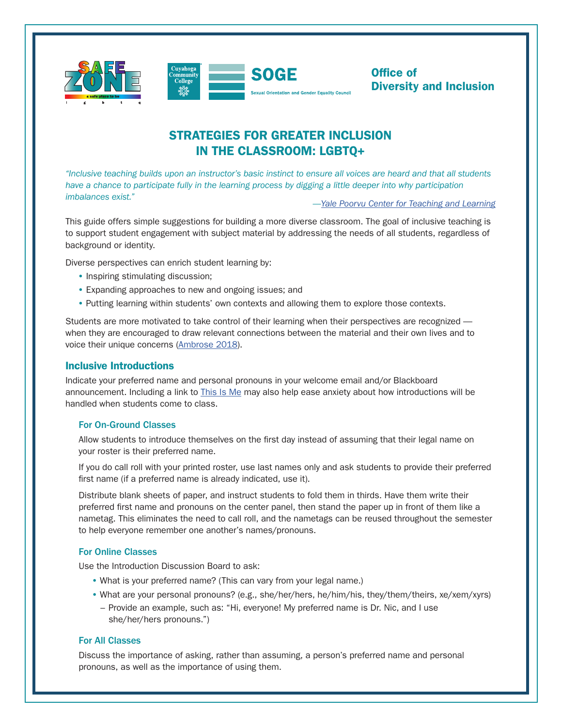

Office of Diversity and Inclusion

# STRATEGIES FOR GREATER INCLUSION IN THE CLASSROOM: LGBTQ+

*"Inclusive teaching builds upon an instructor's basic instinct to ensure all voices are heard and that all students*  have a chance to participate fully in the learning process by digging a little deeper into why participation *imbalances exist." [—Yale Poorvu Center for Teaching and Learning](https://poorvucenter.yale.edu/InclusiveTeachingStrategies)*

This guide offers simple suggestions for building a more diverse classroom. The goal of inclusive teaching is to support student engagement with subject material by addressing the needs of all students, regardless of background or identity.

Diverse perspectives can enrich student learning by:

- Inspiring stimulating discussion;
- Expanding approaches to new and ongoing issues; and
- Putting learning within students' own contexts and allowing them to explore those contexts.

Students are more motivated to take control of their learning when their perspectives are recognized when they are encouraged to draw relevant connections between the material and their own lives and to voice their unique concerns ([Ambrose 2018\)](https://tilt.colostate.edu/ProDev/SummerCon/Archive/YR2018/pdfs/ambroseKeynote(2018).pdf).

## Inclusive Introductions

Indicate your preferred name and personal pronouns in your welcome email and/or Blackboard announcement. Including a link to [This Is Me](https://www.tri-c.edu/administrative-departments/human-resources/diversity-and-inclusion/this-is-me.html) may also help ease anxiety about how introductions will be handled when students come to class.

#### For On-Ground Classes

Allow students to introduce themselves on the first day instead of assuming that their legal name on your roster is their preferred name.

If you do call roll with your printed roster, use last names only and ask students to provide their preferred first name (if a preferred name is already indicated, use it).

Distribute blank sheets of paper, and instruct students to fold them in thirds. Have them write their preferred first name and pronouns on the center panel, then stand the paper up in front of them like a nametag. This eliminates the need to call roll, and the nametags can be reused throughout the semester to help everyone remember one another's names/pronouns.

### For Online Classes

Use the Introduction Discussion Board to ask:

- What is your preferred name? (This can vary from your legal name.)
- What are your personal pronouns? (e.g., she/her/hers, he/him/his, they/them/theirs, xe/xem/xyrs)
	- Provide an example, such as: "Hi, everyone! My preferred name is Dr. Nic, and I use she/her/hers pronouns.")

#### For All Classes

Discuss the importance of asking, rather than assuming, a person's preferred name and personal pronouns, as well as the importance of using them.